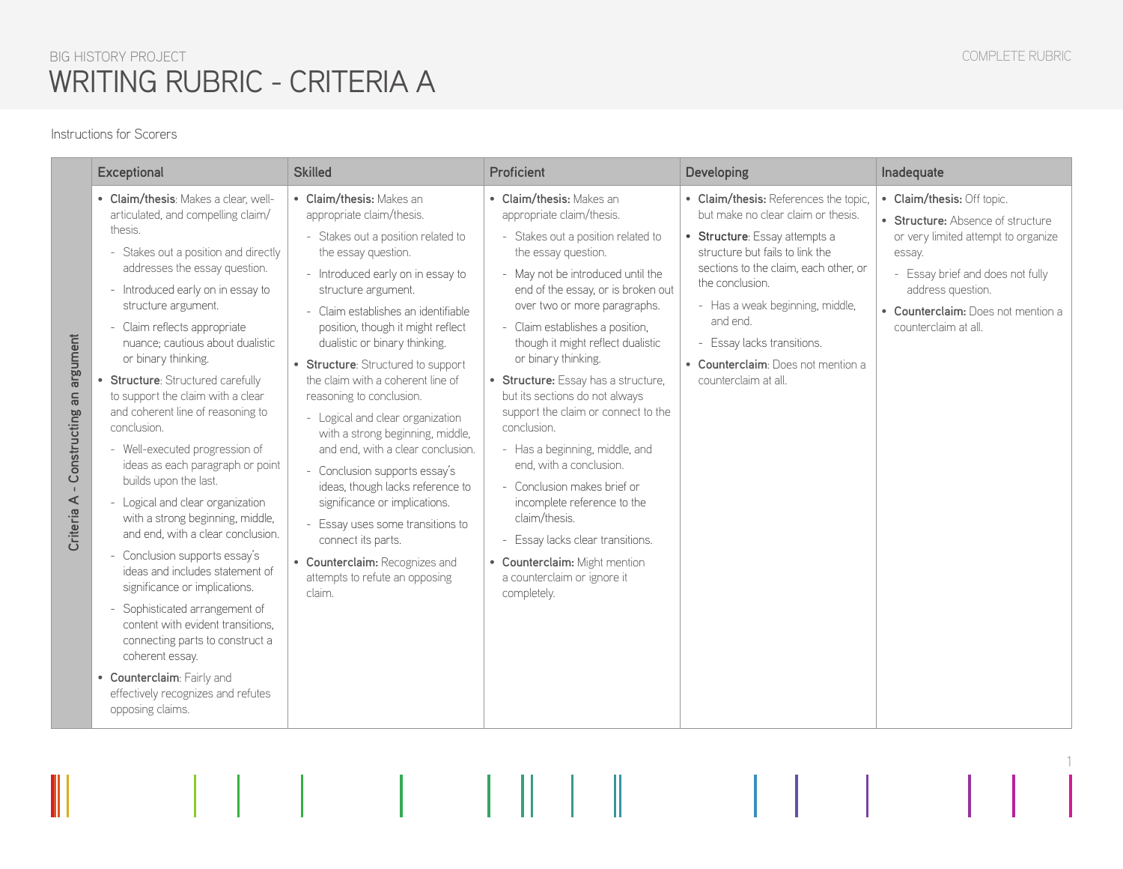1

## BIG HISTORY PROJECT WRITING RUBRIC - CRITERIA A

#### Instructions for Scorers

| <b>Exceptional</b>                                                                                                                                                                                                                                                                                                                                                                                                                                                                                                                                                                                                                                                                                                                                                                                                                                                                                                                                                                                                                     | <b>Skilled</b>                                                                                                                                                                                                                                                                                                                                                                                                                                                                                                                                                                                                                                                                                                                                              | Proficient                                                                                                                                                                                                                                                                                                                                                                                                                                                                                                                                                                                                                                                                                                                 | <b>Developing</b>                                                                                                                                                                                                                                                                                                                                      | Inadequate                                                                                                                                                                                                                              |
|----------------------------------------------------------------------------------------------------------------------------------------------------------------------------------------------------------------------------------------------------------------------------------------------------------------------------------------------------------------------------------------------------------------------------------------------------------------------------------------------------------------------------------------------------------------------------------------------------------------------------------------------------------------------------------------------------------------------------------------------------------------------------------------------------------------------------------------------------------------------------------------------------------------------------------------------------------------------------------------------------------------------------------------|-------------------------------------------------------------------------------------------------------------------------------------------------------------------------------------------------------------------------------------------------------------------------------------------------------------------------------------------------------------------------------------------------------------------------------------------------------------------------------------------------------------------------------------------------------------------------------------------------------------------------------------------------------------------------------------------------------------------------------------------------------------|----------------------------------------------------------------------------------------------------------------------------------------------------------------------------------------------------------------------------------------------------------------------------------------------------------------------------------------------------------------------------------------------------------------------------------------------------------------------------------------------------------------------------------------------------------------------------------------------------------------------------------------------------------------------------------------------------------------------------|--------------------------------------------------------------------------------------------------------------------------------------------------------------------------------------------------------------------------------------------------------------------------------------------------------------------------------------------------------|-----------------------------------------------------------------------------------------------------------------------------------------------------------------------------------------------------------------------------------------|
| • Claim/thesis: Makes a clear, well-<br>articulated, and compelling claim/<br>thesis.<br>- Stakes out a position and directly<br>addresses the essay question.<br>- Introduced early on in essay to<br>structure argument.<br>- Claim reflects appropriate<br>Constructing an argument<br>nuance; cautious about dualistic<br>or binary thinking.<br><b>Structure: Structured carefully</b><br>to support the claim with a clear<br>and coherent line of reasoning to<br>conclusion.<br>- Well-executed progression of<br>ideas as each paragraph or point<br>builds upon the last.<br>Criteria A<br>Logical and clear organization<br>with a strong beginning, middle,<br>and end, with a clear conclusion.<br>- Conclusion supports essay's<br>ideas and includes statement of<br>significance or implications.<br>- Sophisticated arrangement of<br>content with evident transitions.<br>connecting parts to construct a<br>coherent essay.<br>• Counterclaim: Fairly and<br>effectively recognizes and refutes<br>opposing claims. | • Claim/thesis: Makes an<br>appropriate claim/thesis.<br>- Stakes out a position related to<br>the essay question.<br>- Introduced early on in essay to<br>structure argument.<br>Claim establishes an identifiable<br>position, though it might reflect<br>dualistic or binary thinking.<br>• Structure: Structured to support<br>the claim with a coherent line of<br>reasoning to conclusion.<br>- Logical and clear organization<br>with a strong beginning, middle,<br>and end, with a clear conclusion.<br>- Conclusion supports essay's<br>ideas, though lacks reference to<br>significance or implications.<br>- Essay uses some transitions to<br>connect its parts.<br>• Counterclaim: Recognizes and<br>attempts to refute an opposing<br>claim. | • Claim/thesis: Makes an<br>appropriate claim/thesis.<br>- Stakes out a position related to<br>the essay question.<br>- May not be introduced until the<br>end of the essay, or is broken out<br>over two or more paragraphs.<br>- Claim establishes a position,<br>though it might reflect dualistic<br>or binary thinking.<br>• Structure: Essay has a structure,<br>but its sections do not always<br>support the claim or connect to the<br>conclusion.<br>- Has a beginning, middle, and<br>end, with a conclusion.<br>- Conclusion makes brief or<br>incomplete reference to the<br>claim/thesis.<br>- Essay lacks clear transitions.<br>• Counterclaim: Might mention<br>a counterclaim or ignore it<br>completely. | • Claim/thesis: References the topic,<br>but make no clear claim or thesis.<br>• Structure: Essay attempts a<br>structure but fails to link the<br>sections to the claim, each other, or<br>the conclusion.<br>- Has a weak beginning, middle,<br>and end.<br>- Essay lacks transitions.<br>• Counterclaim: Does not mention a<br>counterclaim at all. | • Claim/thesis: Off topic.<br>• Structure: Absence of structure<br>or very limited attempt to organize<br>essay.<br>- Essay brief and does not fully<br>address question.<br>• Counterclaim: Does not mention a<br>counterclaim at all. |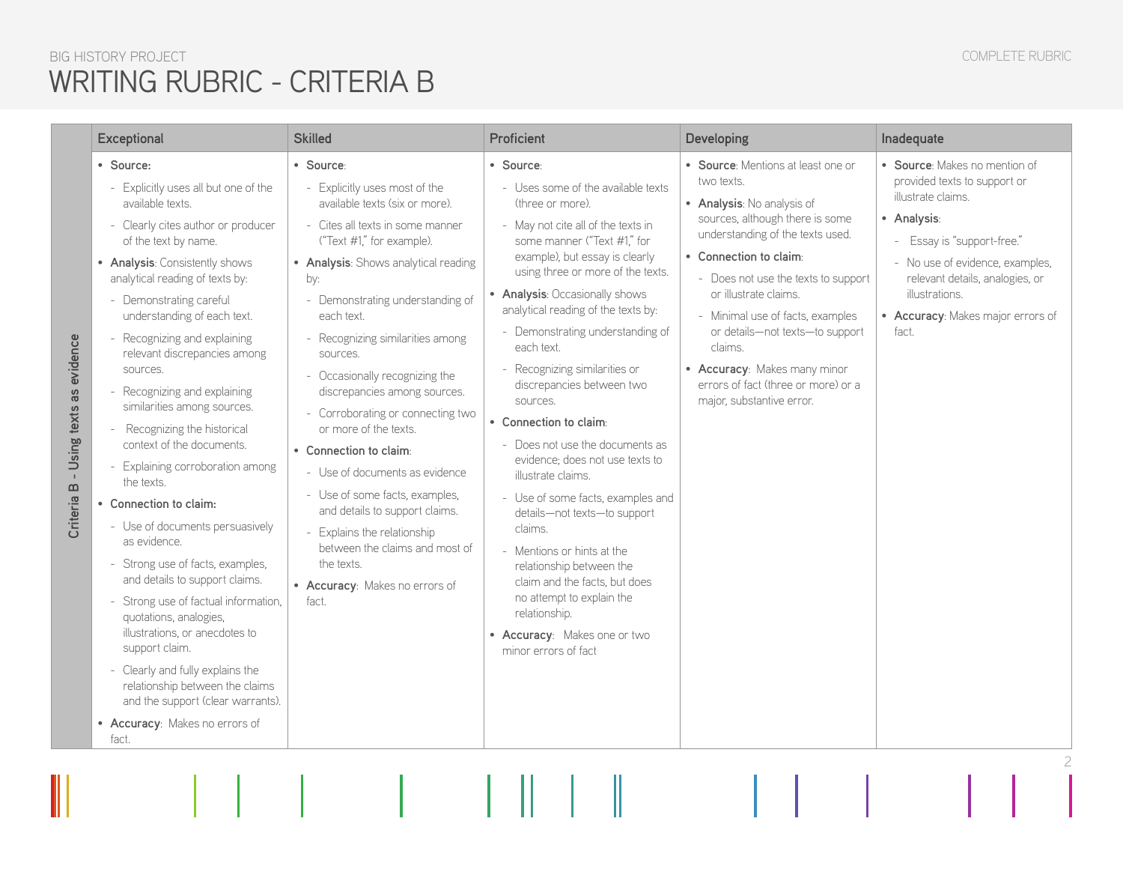#### COMPLETE RUBRIC

# BIG HISTORY PROJECT WRITING RUBRIC - CRITERIA B

|                                                               | <b>Exceptional</b>                                                                                                                                                                                                                                                                                                                                                                                                                                                                                                                                                                                                                                                                                                                                                                                                                                                                                                                     | <b>Skilled</b>                                                                                                                                                                                                                                                                                                                                                                                                                                                                                                                                                                                                                                                                         | Proficient                                                                                                                                                                                                                                                                                                                                                                                                                                                                                                                                                                                                                                                                                                                                                                                                                  | Developing                                                                                                                                                                                                                                                                                                                                                                                                                            | Inadequate                                                                                                                                                                                                                                                             |
|---------------------------------------------------------------|----------------------------------------------------------------------------------------------------------------------------------------------------------------------------------------------------------------------------------------------------------------------------------------------------------------------------------------------------------------------------------------------------------------------------------------------------------------------------------------------------------------------------------------------------------------------------------------------------------------------------------------------------------------------------------------------------------------------------------------------------------------------------------------------------------------------------------------------------------------------------------------------------------------------------------------|----------------------------------------------------------------------------------------------------------------------------------------------------------------------------------------------------------------------------------------------------------------------------------------------------------------------------------------------------------------------------------------------------------------------------------------------------------------------------------------------------------------------------------------------------------------------------------------------------------------------------------------------------------------------------------------|-----------------------------------------------------------------------------------------------------------------------------------------------------------------------------------------------------------------------------------------------------------------------------------------------------------------------------------------------------------------------------------------------------------------------------------------------------------------------------------------------------------------------------------------------------------------------------------------------------------------------------------------------------------------------------------------------------------------------------------------------------------------------------------------------------------------------------|---------------------------------------------------------------------------------------------------------------------------------------------------------------------------------------------------------------------------------------------------------------------------------------------------------------------------------------------------------------------------------------------------------------------------------------|------------------------------------------------------------------------------------------------------------------------------------------------------------------------------------------------------------------------------------------------------------------------|
| • Source:<br>- Using texts as evidence<br>Criteria B<br>fact. | - Explicitly uses all but one of the<br>available texts.<br>- Clearly cites author or producer<br>of the text by name.<br>• Analysis: Consistently shows<br>analytical reading of texts by:<br>- Demonstrating careful<br>understanding of each text.<br>- Recognizing and explaining<br>relevant discrepancies among<br>sources.<br>- Recognizing and explaining<br>similarities among sources.<br>- Recognizing the historical<br>context of the documents.<br>- Explaining corroboration among<br>the texts.<br>• Connection to claim:<br>- Use of documents persuasively<br>as evidence.<br>- Strong use of facts, examples,<br>and details to support claims.<br>- Strong use of factual information,<br>quotations, analogies,<br>illustrations, or anecdotes to<br>support claim.<br>- Clearly and fully explains the<br>relationship between the claims<br>and the support (clear warrants).<br>• Accuracy: Makes no errors of | · Source:<br>Explicitly uses most of the<br>available texts (six or more).<br>- Cites all texts in some manner<br>("Text #1," for example).<br>• Analysis: Shows analytical reading<br>by:<br>- Demonstrating understanding of<br>each text.<br>- Recognizing similarities among<br>sources.<br>- Occasionally recognizing the<br>discrepancies among sources.<br>- Corroborating or connecting two<br>or more of the texts.<br>• Connection to claim:<br>- Use of documents as evidence<br>- Use of some facts, examples,<br>and details to support claims.<br>- Explains the relationship<br>between the claims and most of<br>the texts.<br>• Accuracy: Makes no errors of<br>fact. | · Source:<br>- Uses some of the available texts<br>(three or more).<br>- May not cite all of the texts in<br>some manner ("Text #1," for<br>example), but essay is clearly<br>using three or more of the texts.<br>• Analysis: Occasionally shows<br>analytical reading of the texts by:<br>- Demonstrating understanding of<br>each text.<br>- Recognizing similarities or<br>discrepancies between two<br>sources.<br>• Connection to claim:<br>- Does not use the documents as<br>evidence; does not use texts to<br>illustrate claims.<br>- Use of some facts, examples and<br>details-not texts-to support<br>claims.<br>- Mentions or hints at the<br>relationship between the<br>claim and the facts, but does<br>no attempt to explain the<br>relationship.<br>• Accuracy: Makes one or two<br>minor errors of fact | • Source: Mentions at least one or<br>two texts.<br>• Analysis: No analysis of<br>sources, although there is some<br>understanding of the texts used.<br>• Connection to claim:<br>- Does not use the texts to support<br>or illustrate claims.<br>- Minimal use of facts, examples<br>or details-not texts-to support<br>claims.<br>• Accuracy: Makes many minor<br>errors of fact (three or more) or a<br>major, substantive error. | • Source: Makes no mention of<br>provided texts to support or<br>illustrate claims.<br>• Analysis:<br>- Essay is "support-free."<br>- No use of evidence, examples,<br>relevant details, analogies, or<br>illustrations.<br>• Accuracy: Makes major errors of<br>fact. |
|                                                               |                                                                                                                                                                                                                                                                                                                                                                                                                                                                                                                                                                                                                                                                                                                                                                                                                                                                                                                                        |                                                                                                                                                                                                                                                                                                                                                                                                                                                                                                                                                                                                                                                                                        |                                                                                                                                                                                                                                                                                                                                                                                                                                                                                                                                                                                                                                                                                                                                                                                                                             |                                                                                                                                                                                                                                                                                                                                                                                                                                       |                                                                                                                                                                                                                                                                        |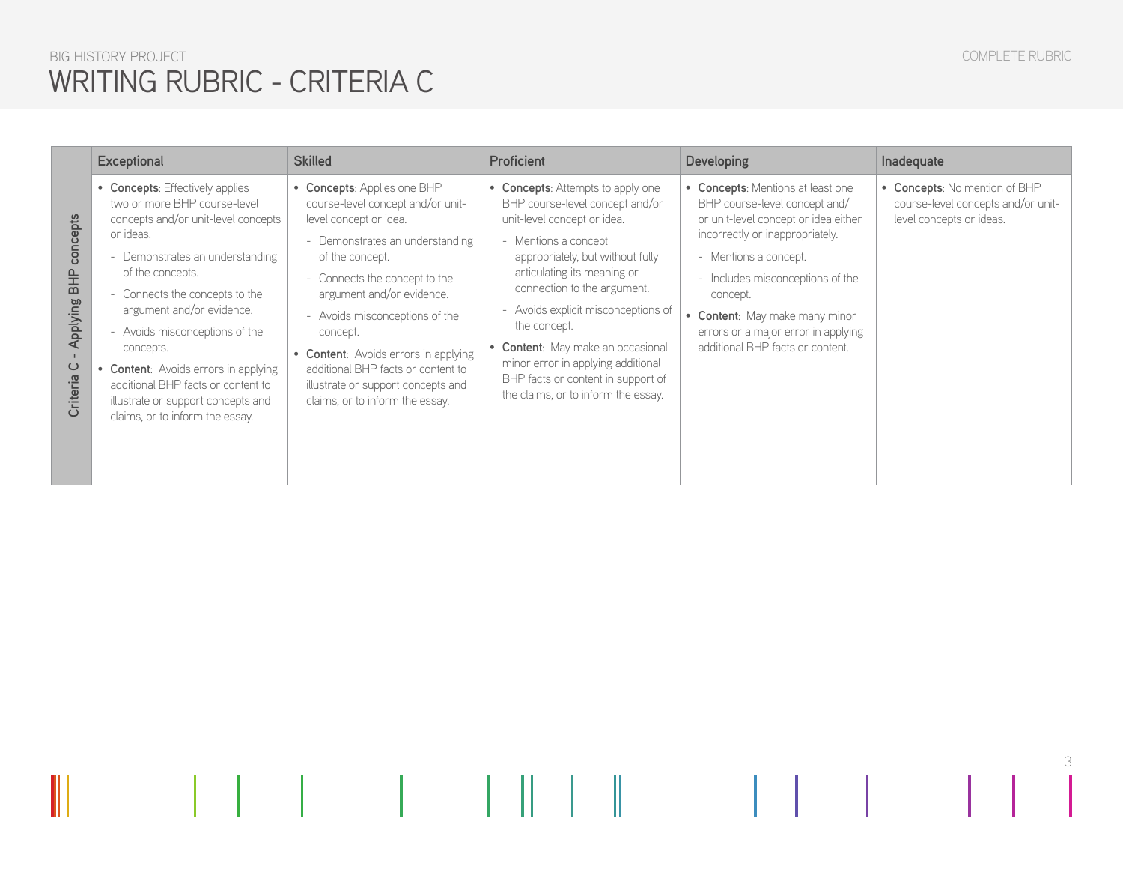# BIG HISTORY PROJECT WRITING RUBRIC - CRITERIA C

**Criteria C - Applying BHP concepts** 

Criteria C - Applying BHP concepts

| <b>Exceptional</b>                                                                                                                                                                                                                                                                                                                                                                                                                              | <b>Skilled</b>                                                                                                                                                                                                                                                                                                                                                                                                      | Proficient                                                                                                                                                                                                                                                                                                                                                                                                                                   | <b>Developing</b>                                                                                                                                                                                                                                                                                                                   | Inadequate                                                                                      |
|-------------------------------------------------------------------------------------------------------------------------------------------------------------------------------------------------------------------------------------------------------------------------------------------------------------------------------------------------------------------------------------------------------------------------------------------------|---------------------------------------------------------------------------------------------------------------------------------------------------------------------------------------------------------------------------------------------------------------------------------------------------------------------------------------------------------------------------------------------------------------------|----------------------------------------------------------------------------------------------------------------------------------------------------------------------------------------------------------------------------------------------------------------------------------------------------------------------------------------------------------------------------------------------------------------------------------------------|-------------------------------------------------------------------------------------------------------------------------------------------------------------------------------------------------------------------------------------------------------------------------------------------------------------------------------------|-------------------------------------------------------------------------------------------------|
| • Concepts: Effectively applies<br>two or more BHP course-level<br>concepts and/or unit-level concepts<br>or ideas.<br>- Demonstrates an understanding<br>of the concepts.<br>- Connects the concepts to the<br>argument and/or evidence.<br>- Avoids misconceptions of the<br>concepts.<br>• Content: Avoids errors in applying<br>additional BHP facts or content to<br>illustrate or support concepts and<br>claims, or to inform the essay. | • Concepts: Applies one BHP<br>course-level concept and/or unit-<br>level concept or idea.<br>- Demonstrates an understanding<br>of the concept.<br>- Connects the concept to the<br>argument and/or evidence.<br>- Avoids misconceptions of the<br>concept.<br>• Content: Avoids errors in applying<br>additional BHP facts or content to<br>illustrate or support concepts and<br>claims, or to inform the essay. | • Concepts: Attempts to apply one<br>BHP course-level concept and/or<br>unit-level concept or idea.<br>- Mentions a concept<br>appropriately, but without fully<br>articulating its meaning or<br>connection to the argument.<br>- Avoids explicit misconceptions of<br>the concept.<br>• Content: May make an occasional<br>minor error in applying additional<br>BHP facts or content in support of<br>the claims, or to inform the essay. | • Concepts: Mentions at least one<br>BHP course-level concept and/<br>or unit-level concept or idea either<br>incorrectly or inappropriately.<br>- Mentions a concept.<br>- Includes misconceptions of the<br>concept.<br>• Content: May make many minor<br>errors or a major error in applying<br>additional BHP facts or content. | • Concepts: No mention of BHP<br>course-level concepts and/or unit-<br>level concepts or ideas. |

3

 $\mathbb{R}^3$ 

 $\mathbb{R}$